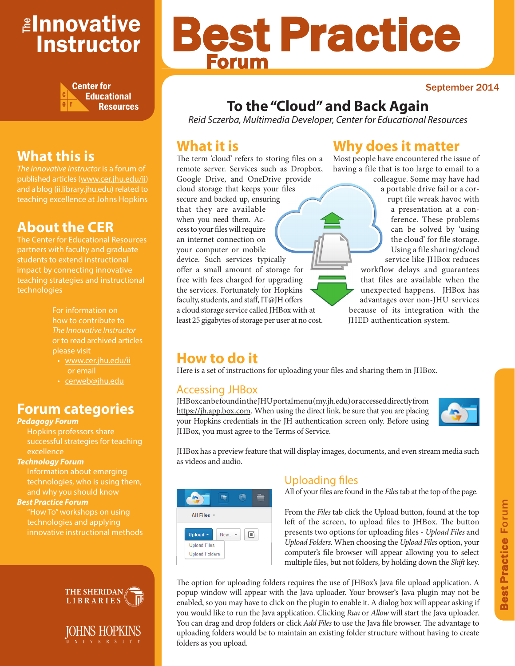# <mark>≇Innovative</mark> Instructor



# **What this is**

published articles (www.cer.jhu.edu/ii) and a blog (ii.library.jhu.edu) related to teaching excellence at Johns Hopkins

# **About the CER**

The Center for Educational Resources students to extend instructional impact by connecting innovative technologies

> For information on how to contribute to *The Innovative Instructor* or to read archived articles please visit

- www.cer.jhu.edu/ii or email
- cerweb@jhu.edu

## **Forum categories**

#### *Pedagogy Forum*

Hopkins professors share successful strategies for teaching excellence

#### *Technology Forum*

technologies, who is using them, and why you should know

#### *Best Practice Forum*

"How To" workshops on using technologies and applying



IOHNS HOPKINS N I V E R S I T Y

# Best Practice Forum

#### September 2014

# **To the "Cloud" and Back Again**

*Reid Sczerba, Multimedia Developer, Center for Educational Resources*

## **What it is**

The term 'cloud' refers to storing files on a remote server. Services such as Dropbox, Google Drive, and OneDrive provide cloud storage that keeps your files secure and backed up, ensuring that they are available when you need them. Access to your files will require an internet connection on your computer or mobile device. Such services typically offer a small amount of storage for free with fees charged for upgrading the services. Fortunately for Hopkins faculty, students, and staff, IT@JH offers a cloud storage service called JHBox with at least 25 gigabytes of storage per user at no cost.

# **Why does it matter**

Most people have encountered the issue of having a file that is too large to email to a

colleague. Some may have had a portable drive fail or a corrupt file wreak havoc with a presentation at a conference. These problems can be solved by 'using the cloud' for file storage. Using a file sharing/cloud service like JHBox reduces

workflow delays and guarantees that files are available when the unexpected happens. JHBox has advantages over non-JHU services because of its integration with the JHED authentication system.

# **How to do it**

Here is a set of instructions for uploading your files and sharing them in JHBox.

#### Accessing JHBox

JHBox can be found in the JHU portal menu (my.jh.edu) or accessed directly from https://jh.app.box.com. When using the direct link, be sure that you are placing your Hopkins credentials in the JH authentication screen only. Before using JHBox, you must agree to the Terms of Service.



JHBox has a preview feature that will display images, documents, and even stream media such as videos and audio.

| All Files - |            |   |  |
|-------------|------------|---|--|
| Upload -    | <b>New</b> | 亲 |  |
|             |            |   |  |

## Uploading files

All of your files are found in the *Files* tab at the top of the page.

From the *Files* tab click the Upload button, found at the top left of the screen, to upload files to JHBox. The button presents two options for uploading files - *Upload Files* and *Upload Folders*. When choosing the *Upload Files* option, your computer's file browser will appear allowing you to select multiple files, but not folders, by holding down the *Shift* key.

The option for uploading folders requires the use of JHBox's Java file upload application. A popup window will appear with the Java uploader. Your browser's Java plugin may not be enabled, so you may have to click on the plugin to enable it. A dialog box will appear asking if you would like to run the Java application. Clicking *Run* or *Allow* will start the Java uploader. You can drag and drop folders or click *Add Files* to use the Java file browser. The advantage to uploading folders would be to maintain an existing folder structure without having to create folders as you upload.